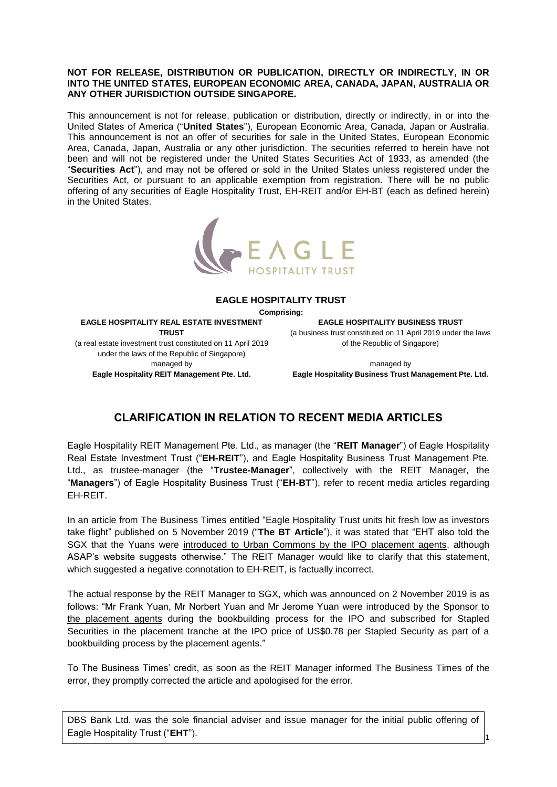## **NOT FOR RELEASE, DISTRIBUTION OR PUBLICATION, DIRECTLY OR INDIRECTLY, IN OR INTO THE UNITED STATES, EUROPEAN ECONOMIC AREA, CANADA, JAPAN, AUSTRALIA OR ANY OTHER JURISDICTION OUTSIDE SINGAPORE.**

This announcement is not for release, publication or distribution, directly or indirectly, in or into the United States of America ("**United States**"), European Economic Area, Canada, Japan or Australia. This announcement is not an offer of securities for sale in the United States, European Economic Area, Canada, Japan, Australia or any other jurisdiction. The securities referred to herein have not been and will not be registered under the United States Securities Act of 1933, as amended (the "**Securities Act**"), and may not be offered or sold in the United States unless registered under the Securities Act, or pursuant to an applicable exemption from registration. There will be no public offering of any securities of Eagle Hospitality Trust, EH-REIT and/or EH-BT (each as defined herein) in the United States.



## **EAGLE HOSPITALITY TRUST**

**Comprising:**

**EAGLE HOSPITALITY REAL ESTATE INVESTMENT TRUST** (a real estate investment trust constituted on 11 April 2019

under the laws of the Republic of Singapore) managed by **Eagle Hospitality REIT Management Pte. Ltd.**

**EAGLE HOSPITALITY BUSINESS TRUST** (a business trust constituted on 11 April 2019 under the laws of the Republic of Singapore)

managed by **Eagle Hospitality Business Trust Management Pte. Ltd.**

## **CLARIFICATION IN RELATION TO RECENT MEDIA ARTICLES**

Eagle Hospitality REIT Management Pte. Ltd., as manager (the "**REIT Manager**") of Eagle Hospitality Real Estate Investment Trust ("**EH-REIT**"), and Eagle Hospitality Business Trust Management Pte. Ltd., as trustee-manager (the "**Trustee-Manager**", collectively with the REIT Manager, the "**Managers**") of Eagle Hospitality Business Trust ("**EH-BT**"), refer to recent media articles regarding EH-REIT.

In an article from The Business Times entitled "Eagle Hospitality Trust units hit fresh low as investors take flight" published on 5 November 2019 ("**The BT Article**"), it was stated that "EHT also told the SGX that the Yuans were introduced to Urban Commons by the IPO placement agents, although ASAP's website suggests otherwise." The REIT Manager would like to clarify that this statement, which suggested a negative connotation to EH-REIT, is factually incorrect.

The actual response by the REIT Manager to SGX, which was announced on 2 November 2019 is as follows: "Mr Frank Yuan, Mr Norbert Yuan and Mr Jerome Yuan were introduced by the Sponsor to the placement agents during the bookbuilding process for the IPO and subscribed for Stapled Securities in the placement tranche at the IPO price of US\$0.78 per Stapled Security as part of a bookbuilding process by the placement agents."

To The Business Times' credit, as soon as the REIT Manager informed The Business Times of the error, they promptly corrected the article and apologised for the error.

DBS Bank Ltd. was the sole financial adviser and issue manager for the initial public offering of Eagle Hospitality Trust ("**EHT**").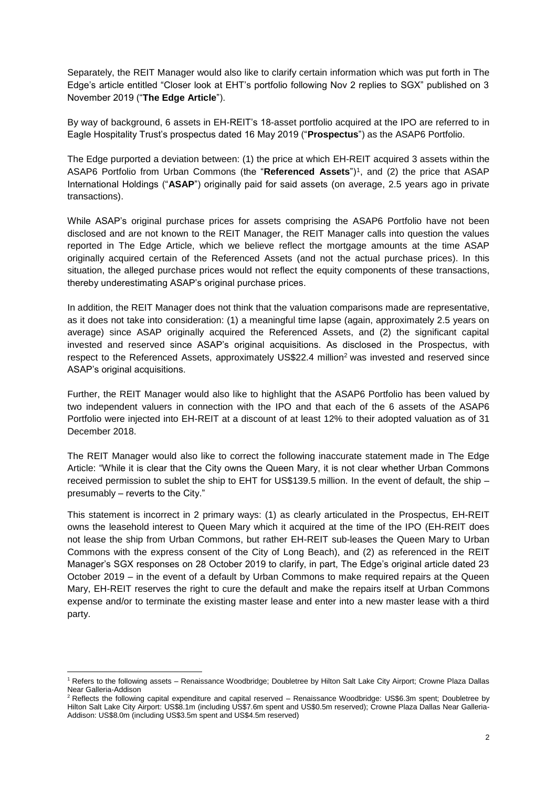Separately, the REIT Manager would also like to clarify certain information which was put forth in The Edge's article entitled "Closer look at EHT's portfolio following Nov 2 replies to SGX" published on 3 November 2019 ("**The Edge Article**").

By way of background, 6 assets in EH-REIT's 18-asset portfolio acquired at the IPO are referred to in Eagle Hospitality Trust's prospectus dated 16 May 2019 ("**Prospectus**") as the ASAP6 Portfolio.

The Edge purported a deviation between: (1) the price at which EH-REIT acquired 3 assets within the ASAP6 Portfolio from Urban Commons (the "Referenced Assets")<sup>1</sup>, and (2) the price that ASAP International Holdings ("**ASAP**") originally paid for said assets (on average, 2.5 years ago in private transactions).

While ASAP's original purchase prices for assets comprising the ASAP6 Portfolio have not been disclosed and are not known to the REIT Manager, the REIT Manager calls into question the values reported in The Edge Article, which we believe reflect the mortgage amounts at the time ASAP originally acquired certain of the Referenced Assets (and not the actual purchase prices). In this situation, the alleged purchase prices would not reflect the equity components of these transactions, thereby underestimating ASAP's original purchase prices.

In addition, the REIT Manager does not think that the valuation comparisons made are representative, as it does not take into consideration: (1) a meaningful time lapse (again, approximately 2.5 years on average) since ASAP originally acquired the Referenced Assets, and (2) the significant capital invested and reserved since ASAP's original acquisitions. As disclosed in the Prospectus, with respect to the Referenced Assets, approximately US\$22.4 million<sup>2</sup> was invested and reserved since ASAP's original acquisitions.

Further, the REIT Manager would also like to highlight that the ASAP6 Portfolio has been valued by two independent valuers in connection with the IPO and that each of the 6 assets of the ASAP6 Portfolio were injected into EH-REIT at a discount of at least 12% to their adopted valuation as of 31 December 2018.

The REIT Manager would also like to correct the following inaccurate statement made in The Edge Article: "While it is clear that the City owns the Queen Mary, it is not clear whether Urban Commons received permission to sublet the ship to EHT for US\$139.5 million. In the event of default, the ship – presumably – reverts to the City."

This statement is incorrect in 2 primary ways: (1) as clearly articulated in the Prospectus, EH-REIT owns the leasehold interest to Queen Mary which it acquired at the time of the IPO (EH-REIT does not lease the ship from Urban Commons, but rather EH-REIT sub-leases the Queen Mary to Urban Commons with the express consent of the City of Long Beach), and (2) as referenced in the REIT Manager's SGX responses on 28 October 2019 to clarify, in part, The Edge's original article dated 23 October 2019 – in the event of a default by Urban Commons to make required repairs at the Queen Mary, EH-REIT reserves the right to cure the default and make the repairs itself at Urban Commons expense and/or to terminate the existing master lease and enter into a new master lease with a third party.

**.** 

<sup>1</sup> Refers to the following assets – Renaissance Woodbridge; Doubletree by Hilton Salt Lake City Airport; Crowne Plaza Dallas Near Galleria-Addison

 $2$  Reflects the following capital expenditure and capital reserved – Renaissance Woodbridge: US\$6.3m spent: Doubletree by Hilton Salt Lake City Airport: US\$8.1m (including US\$7.6m spent and US\$0.5m reserved); Crowne Plaza Dallas Near Galleria-Addison: US\$8.0m (including US\$3.5m spent and US\$4.5m reserved)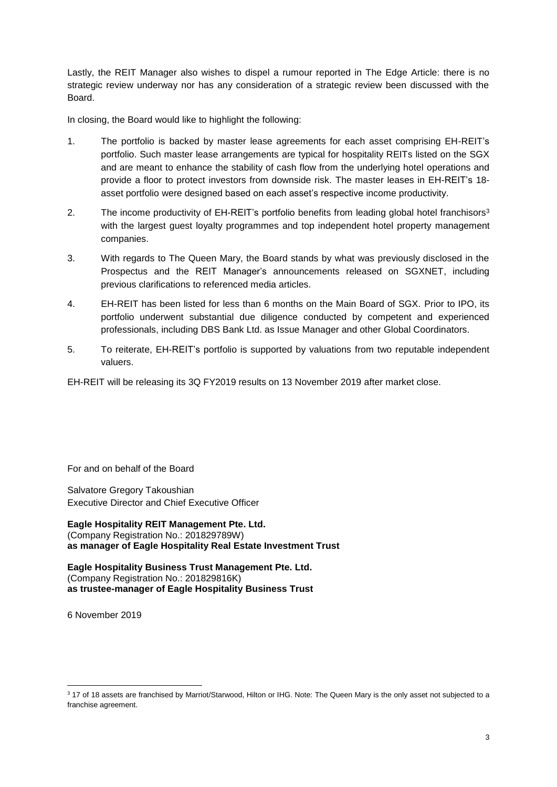Lastly, the REIT Manager also wishes to dispel a rumour reported in The Edge Article: there is no strategic review underway nor has any consideration of a strategic review been discussed with the Board.

In closing, the Board would like to highlight the following:

- 1. The portfolio is backed by master lease agreements for each asset comprising EH-REIT's portfolio. Such master lease arrangements are typical for hospitality REITs listed on the SGX and are meant to enhance the stability of cash flow from the underlying hotel operations and provide a floor to protect investors from downside risk. The master leases in EH-REIT's 18 asset portfolio were designed based on each asset's respective income productivity.
- 2. The income productivity of EH-REIT's portfolio benefits from leading global hotel franchisors<sup>3</sup> with the largest guest loyalty programmes and top independent hotel property management companies.
- 3. With regards to The Queen Mary, the Board stands by what was previously disclosed in the Prospectus and the REIT Manager's announcements released on SGXNET, including previous clarifications to referenced media articles.
- 4. EH-REIT has been listed for less than 6 months on the Main Board of SGX. Prior to IPO, its portfolio underwent substantial due diligence conducted by competent and experienced professionals, including DBS Bank Ltd. as Issue Manager and other Global Coordinators.
- 5. To reiterate, EH-REIT's portfolio is supported by valuations from two reputable independent valuers.

EH-REIT will be releasing its 3Q FY2019 results on 13 November 2019 after market close.

For and on behalf of the Board

Salvatore Gregory Takoushian Executive Director and Chief Executive Officer

**Eagle Hospitality REIT Management Pte. Ltd.** (Company Registration No.: 201829789W) **as manager of Eagle Hospitality Real Estate Investment Trust**

**Eagle Hospitality Business Trust Management Pte. Ltd.** (Company Registration No.: 201829816K) **as trustee-manager of Eagle Hospitality Business Trust**

6 November 2019

 $\overline{a}$ 

<sup>3</sup> 17 of 18 assets are franchised by Marriot/Starwood, Hilton or IHG. Note: The Queen Mary is the only asset not subjected to a franchise agreement.